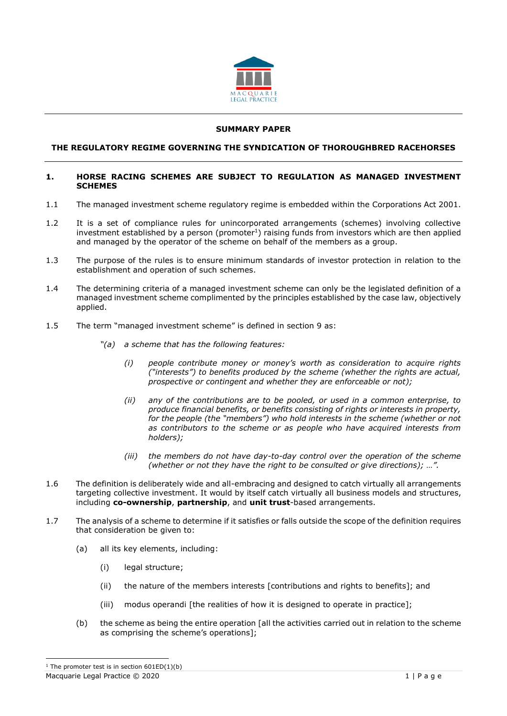

# **SUMMARY PAPER**

# **THE REGULATORY REGIME GOVERNING THE SYNDICATION OF THOROUGHBRED RACEHORSES**

#### **1. HORSE RACING SCHEMES ARE SUBJECT TO REGULATION AS MANAGED INVESTMENT SCHEMES**

- 1.1 The managed investment scheme regulatory regime is embedded within the Corporations Act 2001.
- 1.2 It is a set of compliance rules for unincorporated arrangements (schemes) involving collective investment established by a person (promoter<sup>1</sup>) raising funds from investors which are then applied and managed by the operator of the scheme on behalf of the members as a group.
- 1.3 The purpose of the rules is to ensure minimum standards of investor protection in relation to the establishment and operation of such schemes.
- 1.4 The determining criteria of a managed investment scheme can only be the legislated definition of a managed investment scheme complimented by the principles established by the case law, objectively applied.
- 1.5 The term "managed investment scheme" is defined in section 9 as:
	- *"(a) a scheme that has the following features:*
		- *(i) people contribute money or money's worth as consideration to acquire rights ("interests") to benefits produced by the scheme (whether the rights are actual, prospective or contingent and whether they are enforceable or not);*
		- *(ii) any of the contributions are to be pooled, or used in a common enterprise, to produce financial benefits, or benefits consisting of rights or interests in property, for the people (the "members") who hold interests in the scheme (whether or not as contributors to the scheme or as people who have acquired interests from holders);*
		- *(iii) the members do not have day-to-day control over the operation of the scheme (whether or not they have the right to be consulted or give directions); …".*
- 1.6 The definition is deliberately wide and all-embracing and designed to catch virtually all arrangements targeting collective investment. It would by itself catch virtually all business models and structures, including **co-ownership**, **partnership**, and **unit trust**-based arrangements.
- 1.7 The analysis of a scheme to determine if it satisfies or falls outside the scope of the definition requires that consideration be given to:
	- (a) all its key elements, including:
		- (i) legal structure;
		- (ii) the nature of the members interests [contributions and rights to benefits]; and
		- (iii) modus operandi [the realities of how it is designed to operate in practice];
	- (b) the scheme as being the entire operation [all the activities carried out in relation to the scheme as comprising the scheme's operations];

Macquarie Legal Practice © 2020 1 | P a g e <sup>1</sup> The promoter test is in section  $601ED(1)(b)$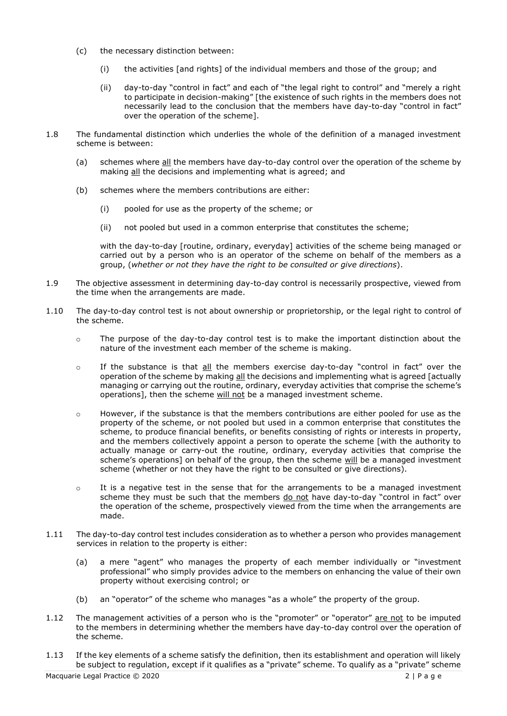- (c) the necessary distinction between:
	- (i) the activities [and rights] of the individual members and those of the group; and
	- (ii) day-to-day "control in fact" and each of "the legal right to control" and "merely a right to participate in decision-making" [the existence of such rights in the members does not necessarily lead to the conclusion that the members have day-to-day "control in fact" over the operation of the scheme].
- 1.8 The fundamental distinction which underlies the whole of the definition of a managed investment scheme is between:
	- (a) schemes where all the members have day-to-day control over the operation of the scheme by making all the decisions and implementing what is agreed; and
	- (b) schemes where the members contributions are either:
		- (i) pooled for use as the property of the scheme; or
		- (ii) not pooled but used in a common enterprise that constitutes the scheme;

with the day-to-day [routine, ordinary, everyday] activities of the scheme being managed or carried out by a person who is an operator of the scheme on behalf of the members as a group, (*whether or not they have the right to be consulted or give directions*).

- 1.9 The objective assessment in determining day-to-day control is necessarily prospective, viewed from the time when the arrangements are made.
- 1.10 The day-to-day control test is not about ownership or proprietorship, or the legal right to control of the scheme.
	- $\circ$  The purpose of the day-to-day control test is to make the important distinction about the nature of the investment each member of the scheme is making.
	- o If the substance is that all the members exercise day-to-day "control in fact" over the operation of the scheme by making all the decisions and implementing what is agreed [actually managing or carrying out the routine, ordinary, everyday activities that comprise the scheme's operations], then the scheme will not be a managed investment scheme.
	- $\circ$  However, if the substance is that the members contributions are either pooled for use as the property of the scheme, or not pooled but used in a common enterprise that constitutes the scheme, to produce financial benefits, or benefits consisting of rights or interests in property, and the members collectively appoint a person to operate the scheme [with the authority to actually manage or carry-out the routine, ordinary, everyday activities that comprise the scheme's operations] on behalf of the group, then the scheme will be a managed investment scheme (whether or not they have the right to be consulted or give directions).
	- o It is a negative test in the sense that for the arrangements to be a managed investment scheme they must be such that the members do not have day-to-day "control in fact" over the operation of the scheme, prospectively viewed from the time when the arrangements are made.
- 1.11 The day-to-day control test includes consideration as to whether a person who provides management services in relation to the property is either:
	- (a) a mere "agent" who manages the property of each member individually or "investment professional" who simply provides advice to the members on enhancing the value of their own property without exercising control; or
	- (b) an "operator" of the scheme who manages "as a whole" the property of the group.
- 1.12 The management activities of a person who is the "promoter" or "operator" are not to be imputed to the members in determining whether the members have day-to-day control over the operation of the scheme.
- 1.13 If the key elements of a scheme satisfy the definition, then its establishment and operation will likely be subject to regulation, except if it qualifies as a "private" scheme. To qualify as a "private" scheme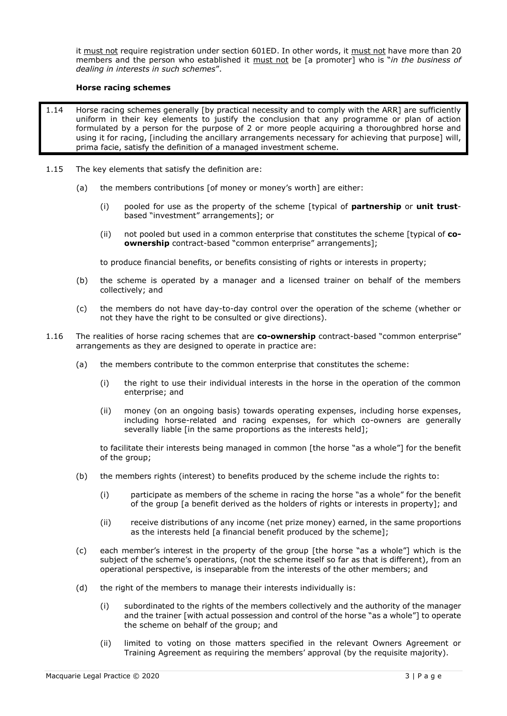it must not require registration under section 601ED. In other words, it must not have more than 20 members and the person who established it must not be [a promoter] who is "*in the business of dealing in interests in such schemes*".

# **Horse racing schemes**

- 1.14 Horse racing schemes generally [by practical necessity and to comply with the ARR] are sufficiently uniform in their key elements to justify the conclusion that any programme or plan of action formulated by a person for the purpose of 2 or more people acquiring a thoroughbred horse and using it for racing, [including the ancillary arrangements necessary for achieving that purpose] will, prima facie, satisfy the definition of a managed investment scheme.
- 1.15 The key elements that satisfy the definition are:
	- (a) the members contributions [of money or money's worth] are either:
		- (i) pooled for use as the property of the scheme [typical of **partnership** or **unit trust**based "investment" arrangements]; or
		- (ii) not pooled but used in a common enterprise that constitutes the scheme [typical of **coownership** contract-based "common enterprise" arrangements];

to produce financial benefits, or benefits consisting of rights or interests in property;

- (b) the scheme is operated by a manager and a licensed trainer on behalf of the members collectively; and
- (c) the members do not have day-to-day control over the operation of the scheme (whether or not they have the right to be consulted or give directions).
- 1.16 The realities of horse racing schemes that are **co-ownership** contract-based "common enterprise" arrangements as they are designed to operate in practice are:
	- (a) the members contribute to the common enterprise that constitutes the scheme:
		- (i) the right to use their individual interests in the horse in the operation of the common enterprise; and
		- (ii) money (on an ongoing basis) towards operating expenses, including horse expenses, including horse-related and racing expenses, for which co-owners are generally severally liable [in the same proportions as the interests held];

to facilitate their interests being managed in common [the horse "as a whole"] for the benefit of the group;

- (b) the members rights (interest) to benefits produced by the scheme include the rights to:
	- (i) participate as members of the scheme in racing the horse "as a whole" for the benefit of the group [a benefit derived as the holders of rights or interests in property]; and
	- (ii) receive distributions of any income (net prize money) earned, in the same proportions as the interests held [a financial benefit produced by the scheme];
- (c) each member's interest in the property of the group [the horse "as a whole"] which is the subject of the scheme's operations, (not the scheme itself so far as that is different), from an operational perspective, is inseparable from the interests of the other members; and
- (d) the right of the members to manage their interests individually is:
	- (i) subordinated to the rights of the members collectively and the authority of the manager and the trainer [with actual possession and control of the horse "as a whole"] to operate the scheme on behalf of the group; and
	- (ii) limited to voting on those matters specified in the relevant Owners Agreement or Training Agreement as requiring the members' approval (by the requisite majority).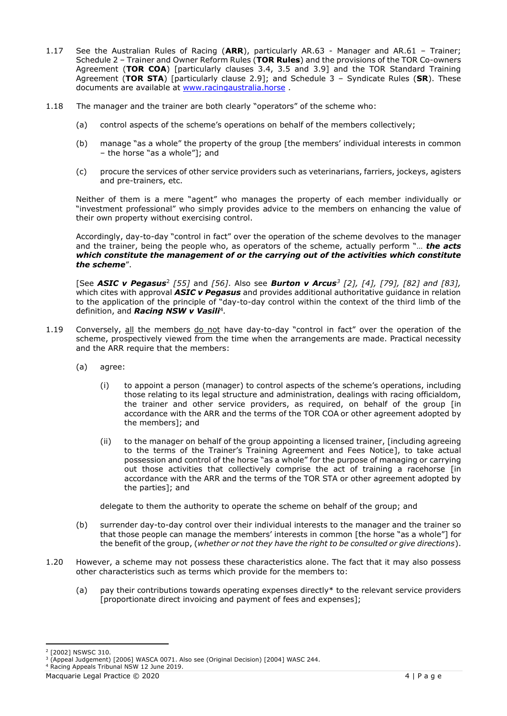- 1.17 See the Australian Rules of Racing (**ARR**), particularly AR.63 Manager and AR.61 Trainer; Schedule 2 – Trainer and Owner Reform Rules (**TOR Rules**) and the provisions of the TOR Co-owners Agreement (**TOR COA**) [particularly clauses 3.4, 3.5 and 3.9] and the TOR Standard Training Agreement (**TOR STA**) [particularly clause 2.9]; and Schedule 3 – Syndicate Rules (**SR**). These documents are available at [www.racingaustralia.horse](http://www.racingaustralia.horse/) .
- 1.18 The manager and the trainer are both clearly "operators" of the scheme who:
	- (a) control aspects of the scheme's operations on behalf of the members collectively;
	- (b) manage "as a whole" the property of the group [the members' individual interests in common – the horse "as a whole"]; and
	- (c) procure the services of other service providers such as veterinarians, farriers, jockeys, agisters and pre-trainers, etc.

Neither of them is a mere "agent" who manages the property of each member individually or "investment professional" who simply provides advice to the members on enhancing the value of their own property without exercising control.

Accordingly, day-to-day "control in fact" over the operation of the scheme devolves to the manager and the trainer, being the people who, as operators of the scheme, actually perform "… *the acts which constitute the management of or the carrying out of the activities which constitute the scheme*".

[See *ASIC v Pegasus*<sup>2</sup> *[55]* and *[56]*. Also see *Burton v Arcus<sup>3</sup> [2], [4], [79], [82] and [83],*  which cites with approval *ASIC v Pegasus* and provides additional authoritative guidance in relation to the application of the principle of "day-to-day control within the context of the third limb of the definition, and *Racing NSW v Vasili*<sup>4</sup> *.*

- 1.19 Conversely, all the members do not have day-to-day "control in fact" over the operation of the scheme, prospectively viewed from the time when the arrangements are made. Practical necessity and the ARR require that the members:
	- (a) agree:
		- (i) to appoint a person (manager) to control aspects of the scheme's operations, including those relating to its legal structure and administration, dealings with racing officialdom, the trainer and other service providers, as required, on behalf of the group [in accordance with the ARR and the terms of the TOR COA or other agreement adopted by the members]; and
		- (ii) to the manager on behalf of the group appointing a licensed trainer, [including agreeing to the terms of the Trainer's Training Agreement and Fees Notice], to take actual possession and control of the horse "as a whole" for the purpose of managing or carrying out those activities that collectively comprise the act of training a racehorse [in accordance with the ARR and the terms of the TOR STA or other agreement adopted by the parties]; and

delegate to them the authority to operate the scheme on behalf of the group; and

- (b) surrender day-to-day control over their individual interests to the manager and the trainer so that those people can manage the members' interests in common [the horse "as a whole"] for the benefit of the group, (*whether or not they have the right to be consulted or give directions*).
- 1.20 However, a scheme may not possess these characteristics alone. The fact that it may also possess other characteristics such as terms which provide for the members to:
	- (a) pay their contributions towards operating expenses directly\* to the relevant service providers [proportionate direct invoicing and payment of fees and expenses];

<sup>2</sup> [2002] NSWSC 310.

<sup>3</sup> (Appeal Judgement) [2006] WASCA 0071. Also see (Original Decision) [2004] WASC 244.

<sup>4</sup> Racing Appeals Tribunal NSW 12 June 2019.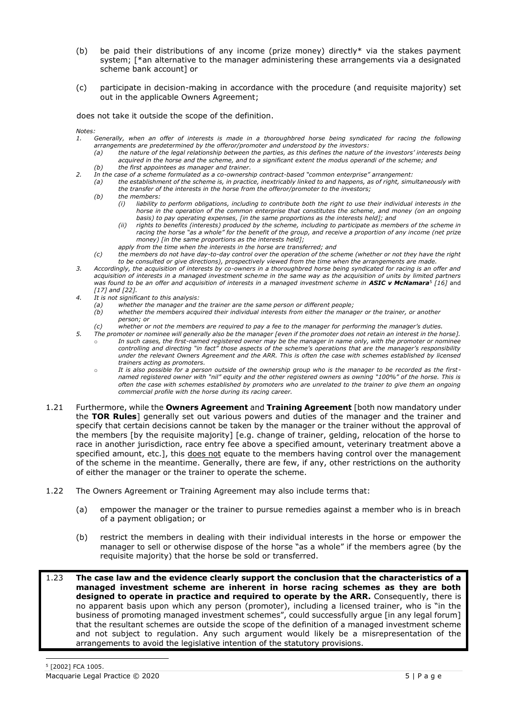- (b) be paid their distributions of any income (prize money) directly\* via the stakes payment system; [\*an alternative to the manager administering these arrangements via a designated scheme bank account] or
- (c) participate in decision-making in accordance with the procedure (and requisite majority) set out in the applicable Owners Agreement;

does not take it outside the scope of the definition.

*Notes:* 

- *1. Generally, when an offer of interests is made in a thoroughbred horse being syndicated for racing the following arrangements are predetermined by the offeror/promoter and understood by the investors:*
	- *(a) the nature of the legal relationship between the parties, as this defines the nature of the investors' interests being acquired in the horse and the scheme, and to a significant extent the modus operandi of the scheme; and (b) the first appointees as manager and trainer.*
- *2. In the case of a scheme formulated as a co-ownership contract-based "common enterprise" arrangement:*
	- *(a) the establishment of the scheme is, in practice, inextricably linked to and happens, as of right, simultaneously with the transfer of the interests in the horse from the offeror/promoter to the investors;* 
		- *(b) the members:*
			- *(i) liability to perform obligations, including to contribute both the right to use their individual interests in the horse in the operation of the common enterprise that constitutes the scheme, and money (on an ongoing basis) to pay operating expenses, [in the same proportions as the interests held]; and*
			- *(ii) rights to benefits (interests) produced by the scheme, including to participate as members of the scheme in racing the horse "as a whole" for the benefit of the group, and receive a proportion of any income (net prize money) [in the same proportions as the interests held];*
			- *apply from the time when the interests in the horse are transferred; and*
	- *(c) the members do not have day-to-day control over the operation of the scheme (whether or not they have the right to be consulted or give directions), prospectively viewed from the time when the arrangements are made.*
- *3. Accordingly, the acquisition of interests by co-owners in a thoroughbred horse being syndicated for racing is an offer and acquisition of interests in a managed investment scheme in the same way as the acquisition of units by limited partners*  was found to be an offer and acquisition of interests in a managed investment scheme in **ASIC v McNamara**<sup>5</sup> [16] and *[17] and [22].*
- *4. It is not significant to this analysis:*
	-
	- *(a) whether the manager and the trainer are the same person or different people; (b) whether the members acquired their individual interests from either the manager or the trainer, or another person; or*
	- *(c) whether or not the members are required to pay a fee to the manager for performing the manager's duties.*
- *5. The promoter or nominee will generally also be the manager [even if the promoter does not retain an interest in the horse].*  In such cases, the first-named registered owner may be the manager in name only, with the promoter or nominee *controlling and directing "in fact" those aspects of the scheme's operations that are the manager's responsibility under the relevant Owners Agreement and the ARR. This is often the case with schemes established by licensed trainers acting as promoters.* 
	- o *It is also possible for a person outside of the ownership group who is the manager to be recorded as the firstnamed registered owner with "nil" equity and the other registered owners as owning "100%" of the horse. This is often the case with schemes established by promoters who are unrelated to the trainer to give them an ongoing commercial profile with the horse during its racing career.*
- 1.21 Furthermore, while the **Owners Agreement** and **Training Agreement** [both now mandatory under the **TOR Rules**] generally set out various powers and duties of the manager and the trainer and specify that certain decisions cannot be taken by the manager or the trainer without the approval of the members [by the requisite majority] [e.g. change of trainer, gelding, relocation of the horse to race in another jurisdiction, race entry fee above a specified amount, veterinary treatment above a specified amount, etc.], this does not equate to the members having control over the management of the scheme in the meantime. Generally, there are few, if any, other restrictions on the authority of either the manager or the trainer to operate the scheme.
- 1.22 The Owners Agreement or Training Agreement may also include terms that:
	- (a) empower the manager or the trainer to pursue remedies against a member who is in breach of a payment obligation; or
	- (b) restrict the members in dealing with their individual interests in the horse or empower the manager to sell or otherwise dispose of the horse "as a whole" if the members agree (by the requisite majority) that the horse be sold or transferred.
- 1.23 **The case law and the evidence clearly support the conclusion that the characteristics of a managed investment scheme are inherent in horse racing schemes as they are both designed to operate in practice and required to operate by the ARR.** Consequently, there is no apparent basis upon which any person (promoter), including a licensed trainer, who is "in the business of promoting managed investment schemes", could successfully argue [in any legal forum] that the resultant schemes are outside the scope of the definition of a managed investment scheme and not subject to regulation. Any such argument would likely be a misrepresentation of the arrangements to avoid the legislative intention of the statutory provisions.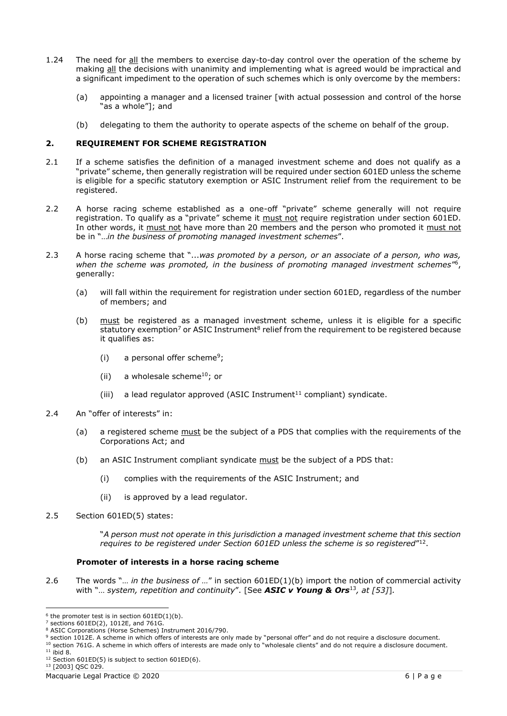- 1.24 The need for all the members to exercise day-to-day control over the operation of the scheme by making all the decisions with unanimity and implementing what is agreed would be impractical and a significant impediment to the operation of such schemes which is only overcome by the members:
	- (a) appointing a manager and a licensed trainer [with actual possession and control of the horse "as a whole"]; and
	- (b) delegating to them the authority to operate aspects of the scheme on behalf of the group.

# **2. REQUIREMENT FOR SCHEME REGISTRATION**

- 2.1 If a scheme satisfies the definition of a managed investment scheme and does not qualify as a "private" scheme, then generally registration will be required under section 601ED unless the scheme is eligible for a specific statutory exemption or ASIC Instrument relief from the requirement to be registered.
- 2.2 A horse racing scheme established as a one-off "private" scheme generally will not require registration. To qualify as a "private" scheme it must not require registration under section 601ED. In other words, it must not have more than 20 members and the person who promoted it must not be in "…*in the business of promoting managed investment schemes*".
- 2.3 A horse racing scheme that "...*was promoted by a person, or an associate of a person, who was,*  when the scheme was promoted, in the business of promoting managed investment schemes<sup>r6</sup>, generally:
	- (a) will fall within the requirement for registration under section 601ED, regardless of the number of members; and
	- (b) must be registered as a managed investment scheme, unless it is eligible for a specific statutory exemption<sup>7</sup> or ASIC Instrument<sup>8</sup> relief from the requirement to be registered because it qualifies as:
		- (i) a personal offer scheme<sup>9</sup>;
		- (ii) a wholesale scheme<sup>10</sup>; or
		- (iii) a lead regulator approved (ASIC Instrument $11$  compliant) syndicate.
- 2.4 An "offer of interests" in:
	- (a) a registered scheme must be the subject of a PDS that complies with the requirements of the Corporations Act; and
	- (b) an ASIC Instrument compliant syndicate must be the subject of a PDS that:
		- (i) complies with the requirements of the ASIC Instrument; and
		- (ii) is approved by a lead regulator.
- 2.5 Section 601ED(5) states:

"*A person must not operate in this jurisdiction a managed investment scheme that this section requires to be registered under Section 601ED unless the scheme is so registered*" 12 .

# **Promoter of interests in a horse racing scheme**

2.6 The words "… *in the business of …*" in section 601ED(1)(b) import the notion of commercial activity with "… *system, repetition and continuity*". [See *ASIC v Young & Ors*<sup>13</sup>*, at [53]*]*.*

<sup>9</sup> section 1012E. A scheme in which offers of interests are only made by "personal offer" and do not require a disclosure document.

 $10$  section 761G. A scheme in which offers of interests are made only to "wholesale clients" and do not require a disclosure document. <sup>11</sup> ibid 8.

- $12$  Section 601ED(5) is subject to section 601ED(6).
- <sup>13</sup> [2003] QSC 029.

 $6$  the promoter test is in section  $601ED(1)(b)$ .

<sup>7</sup> sections 601ED(2), 1012E, and 761G.

<sup>&</sup>lt;sup>8</sup> ASIC Corporations (Horse Schemes) Instrument 2016/790.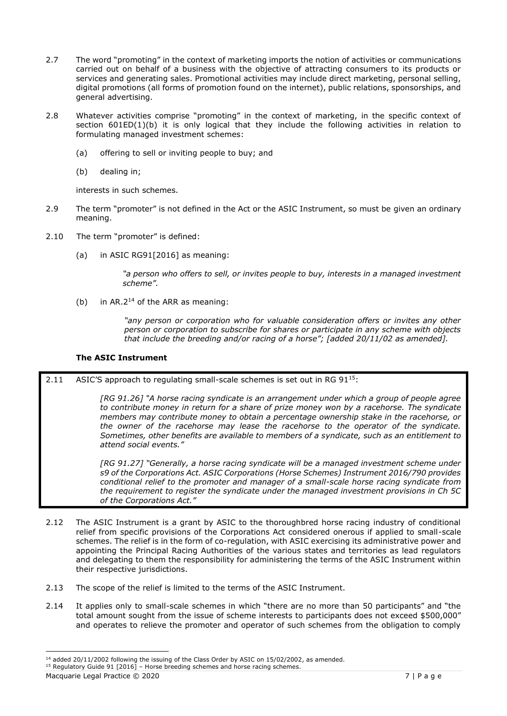- 2.7 The word "promoting" in the context of marketing imports the notion of activities or communications carried out on behalf of a business with the objective of attracting consumers to its products or services and generating sales. Promotional activities may include direct marketing, personal selling, digital promotions (all forms of promotion found on the internet), public relations, sponsorships, and general advertising.
- 2.8 Whatever activities comprise "promoting" in the context of marketing, in the specific context of section 601ED(1)(b) it is only logical that they include the following activities in relation to formulating managed investment schemes:
	- (a) offering to sell or inviting people to buy; and
	- (b) dealing in;

interests in such schemes.

- 2.9 The term "promoter" is not defined in the Act or the ASIC Instrument, so must be given an ordinary meaning.
- 2.10 The term "promoter" is defined:
	- (a) in ASIC RG91[2016] as meaning:

*"a person who offers to sell, or invites people to buy, interests in a managed investment scheme".*

(b) in AR.2<sup>14</sup> of the ARR as meaning:

*"any person or corporation who for valuable consideration offers or invites any other person or corporation to subscribe for shares or participate in any scheme with objects that include the breeding and/or racing of a horse"; [added 20/11/02 as amended].*

# **The ASIC Instrument**

2.11 ASIC'S approach to regulating small-scale schemes is set out in RG  $91^{15}$ :

*[RG 91.26] "A horse racing syndicate is an arrangement under which a group of people agree to contribute money in return for a share of prize money won by a racehorse. The syndicate members may contribute money to obtain a percentage ownership stake in the racehorse, or the owner of the racehorse may lease the racehorse to the operator of the syndicate. Sometimes, other benefits are available to members of a syndicate, such as an entitlement to attend social events."*

*[RG 91.27] "Generally, a horse racing syndicate will be a managed investment scheme under s9 of the Corporations Act. ASIC Corporations (Horse Schemes) Instrument 2016/790 provides conditional relief to the promoter and manager of a small-scale horse racing syndicate from the requirement to register the syndicate under the managed investment provisions in Ch 5C of the Corporations Act."*

- 2.12 The ASIC Instrument is a grant by ASIC to the thoroughbred horse racing industry of conditional relief from specific provisions of the Corporations Act considered onerous if applied to small-scale schemes. The relief is in the form of co-regulation, with ASIC exercising its administrative power and appointing the Principal Racing Authorities of the various states and territories as lead regulators and delegating to them the responsibility for administering the terms of the ASIC Instrument within their respective jurisdictions.
- 2.13 The scope of the relief is limited to the terms of the ASIC Instrument.
- 2.14 It applies only to small-scale schemes in which "there are no more than 50 participants" and "the total amount sought from the issue of scheme interests to participants does not exceed \$500,000" and operates to relieve the promoter and operator of such schemes from the obligation to comply

 $14$  added 20/11/2002 following the issuing of the Class Order by ASIC on 15/02/2002, as amended.

 $15$  Regulatory Guide 91 [2016] – Horse breeding schemes and horse racing schemes.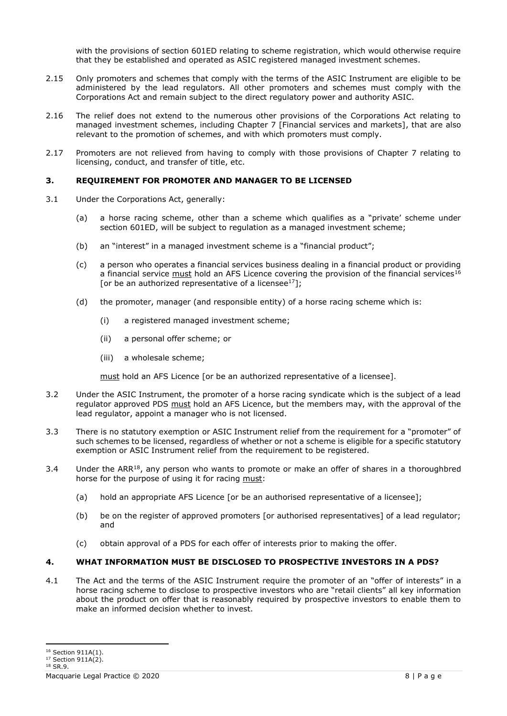with the provisions of section 601ED relating to scheme registration, which would otherwise require that they be established and operated as ASIC registered managed investment schemes.

- 2.15 Only promoters and schemes that comply with the terms of the ASIC Instrument are eligible to be administered by the lead regulators. All other promoters and schemes must comply with the Corporations Act and remain subject to the direct regulatory power and authority ASIC.
- 2.16 The relief does not extend to the numerous other provisions of the Corporations Act relating to managed investment schemes, including Chapter 7 [Financial services and markets], that are also relevant to the promotion of schemes, and with which promoters must comply.
- 2.17 Promoters are not relieved from having to comply with those provisions of Chapter 7 relating to licensing, conduct, and transfer of title, etc.

# **3. REQUIREMENT FOR PROMOTER AND MANAGER TO BE LICENSED**

- 3.1 Under the Corporations Act, generally:
	- (a) a horse racing scheme, other than a scheme which qualifies as a "private' scheme under section 601ED, will be subject to regulation as a managed investment scheme;
	- (b) an "interest" in a managed investment scheme is a "financial product";
	- (c) a person who operates a financial services business dealing in a financial product or providing a financial service must hold an AFS Licence covering the provision of the financial services<sup>16</sup> [or be an authorized representative of a licensee<sup>17</sup>];
	- (d) the promoter, manager (and responsible entity) of a horse racing scheme which is:
		- (i) a registered managed investment scheme;
		- (ii) a personal offer scheme; or
		- (iii) a wholesale scheme;

must hold an AFS Licence [or be an authorized representative of a licensee].

- 3.2 Under the ASIC Instrument, the promoter of a horse racing syndicate which is the subject of a lead regulator approved PDS must hold an AFS Licence, but the members may, with the approval of the lead regulator, appoint a manager who is not licensed.
- 3.3 There is no statutory exemption or ASIC Instrument relief from the requirement for a "promoter" of such schemes to be licensed, regardless of whether or not a scheme is eligible for a specific statutory exemption or ASIC Instrument relief from the requirement to be registered.
- 3.4 Under the ARR<sup>18</sup>, any person who wants to promote or make an offer of shares in a thoroughbred horse for the purpose of using it for racing must:
	- (a) hold an appropriate AFS Licence [or be an authorised representative of a licensee];
	- (b) be on the register of approved promoters [or authorised representatives] of a lead regulator; and
	- (c) obtain approval of a PDS for each offer of interests prior to making the offer.

# **4. WHAT INFORMATION MUST BE DISCLOSED TO PROSPECTIVE INVESTORS IN A PDS?**

4.1 The Act and the terms of the ASIC Instrument require the promoter of an "offer of interests" in a horse racing scheme to disclose to prospective investors who are "retail clients" all key information about the product on offer that is reasonably required by prospective investors to enable them to make an informed decision whether to invest.

<sup>&</sup>lt;sup>16</sup> Section 911A(1).

<sup>&</sup>lt;sup>17</sup> Section 911A(2). <sup>18</sup> SR.9.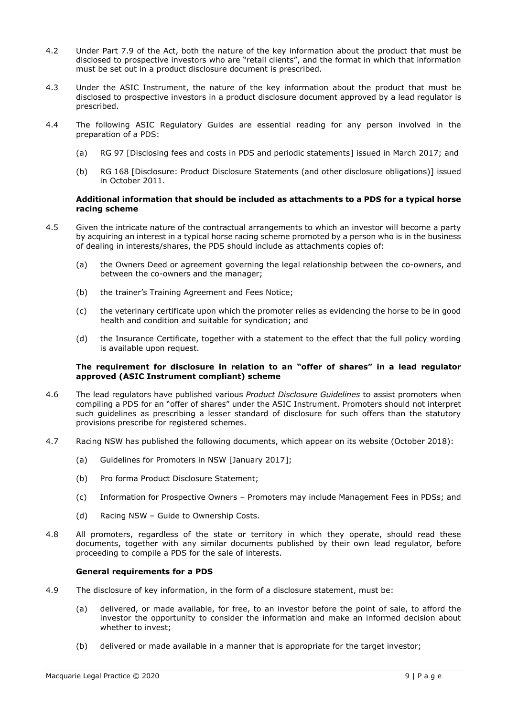- 4.2 Under Part 7.9 of the Act, both the nature of the key information about the product that must be disclosed to prospective investors who are "retail clients", and the format in which that information must be set out in a product disclosure document is prescribed.
- 4.3 Under the ASIC Instrument, the nature of the key information about the product that must be disclosed to prospective investors in a product disclosure document approved by a lead regulator is prescribed.
- 4.4 The following ASIC Regulatory Guides are essential reading for any person involved in the preparation of a PDS:
	- (a) RG 97 [Disclosing fees and costs in PDS and periodic statements] issued in March 2017; and
	- (b) RG 168 [Disclosure: Product Disclosure Statements (and other disclosure obligations)] issued in October 2011.

# **Additional information that should be included as attachments to a PDS for a typical horse racing scheme**

- 4.5 Given the intricate nature of the contractual arrangements to which an investor will become a party by acquiring an interest in a typical horse racing scheme promoted by a person who is in the business of dealing in interests/shares, the PDS should include as attachments copies of:
	- (a) the Owners Deed or agreement governing the legal relationship between the co-owners, and between the co-owners and the manager;
	- (b) the trainer's Training Agreement and Fees Notice;
	- (c) the veterinary certificate upon which the promoter relies as evidencing the horse to be in good health and condition and suitable for syndication; and
	- (d) the Insurance Certificate, together with a statement to the effect that the full policy wording is available upon request.

#### **The requirement for disclosure in relation to an "offer of shares" in a lead regulator approved (ASIC Instrument compliant) scheme**

- 4.6 The lead regulators have published various *Product Disclosure Guidelines* to assist promoters when compiling a PDS for an "offer of shares" under the ASIC Instrument. Promoters should not interpret such guidelines as prescribing a lesser standard of disclosure for such offers than the statutory provisions prescribe for registered schemes.
- 4.7 Racing NSW has published the following documents, which appear on its website (October 2018):
	- (a) Guidelines for Promoters in NSW [January 2017];
	- (b) Pro forma Product Disclosure Statement;
	- (c) Information for Prospective Owners Promoters may include Management Fees in PDSs; and
	- (d) Racing NSW Guide to Ownership Costs.
- 4.8 All promoters, regardless of the state or territory in which they operate, should read these documents, together with any similar documents published by their own lead regulator, before proceeding to compile a PDS for the sale of interests.

#### **General requirements for a PDS**

- 4.9 The disclosure of key information, in the form of a disclosure statement, must be:
	- (a) delivered, or made available, for free, to an investor before the point of sale, to afford the investor the opportunity to consider the information and make an informed decision about whether to invest;
	- (b) delivered or made available in a manner that is appropriate for the target investor;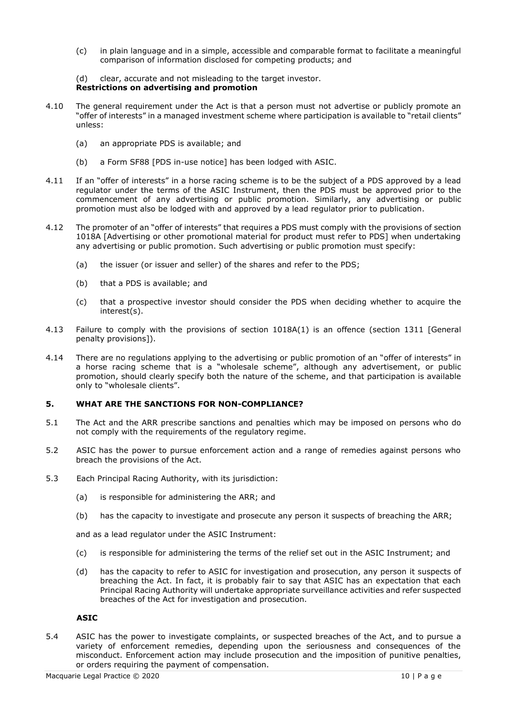- (c) in plain language and in a simple, accessible and comparable format to facilitate a meaningful comparison of information disclosed for competing products; and
- (d) clear, accurate and not misleading to the target investor.

### **Restrictions on advertising and promotion**

- 4.10 The general requirement under the Act is that a person must not advertise or publicly promote an "offer of interests" in a managed investment scheme where participation is available to "retail clients" unless:
	- (a) an appropriate PDS is available; and
	- (b) a Form SF88 [PDS in-use notice] has been lodged with ASIC.
- 4.11 If an "offer of interests" in a horse racing scheme is to be the subject of a PDS approved by a lead regulator under the terms of the ASIC Instrument, then the PDS must be approved prior to the commencement of any advertising or public promotion. Similarly, any advertising or public promotion must also be lodged with and approved by a lead regulator prior to publication.
- 4.12 The promoter of an "offer of interests" that requires a PDS must comply with the provisions of section 1018A [Advertising or other promotional material for product must refer to PDS] when undertaking any advertising or public promotion. Such advertising or public promotion must specify:
	- (a) the issuer (or issuer and seller) of the shares and refer to the PDS;
	- (b) that a PDS is available; and
	- (c) that a prospective investor should consider the PDS when deciding whether to acquire the interest(s).
- 4.13 Failure to comply with the provisions of section 1018A(1) is an offence (section 1311 [General penalty provisions]).
- 4.14 There are no regulations applying to the advertising or public promotion of an "offer of interests" in a horse racing scheme that is a "wholesale scheme", although any advertisement, or public promotion, should clearly specify both the nature of the scheme, and that participation is available only to "wholesale clients".

#### **5. WHAT ARE THE SANCTIONS FOR NON-COMPLIANCE?**

- 5.1 The Act and the ARR prescribe sanctions and penalties which may be imposed on persons who do not comply with the requirements of the regulatory regime.
- 5.2 ASIC has the power to pursue enforcement action and a range of remedies against persons who breach the provisions of the Act.
- 5.3 Each Principal Racing Authority, with its jurisdiction:
	- (a) is responsible for administering the ARR; and
	- (b) has the capacity to investigate and prosecute any person it suspects of breaching the ARR;

and as a lead regulator under the ASIC Instrument:

- (c) is responsible for administering the terms of the relief set out in the ASIC Instrument; and
- (d) has the capacity to refer to ASIC for investigation and prosecution, any person it suspects of breaching the Act. In fact, it is probably fair to say that ASIC has an expectation that each Principal Racing Authority will undertake appropriate surveillance activities and refer suspected breaches of the Act for investigation and prosecution.

#### **ASIC**

5.4 ASIC has the power to investigate complaints, or suspected breaches of the Act, and to pursue a variety of enforcement remedies, depending upon the seriousness and consequences of the misconduct. Enforcement action may include prosecution and the imposition of punitive penalties, or orders requiring the payment of compensation.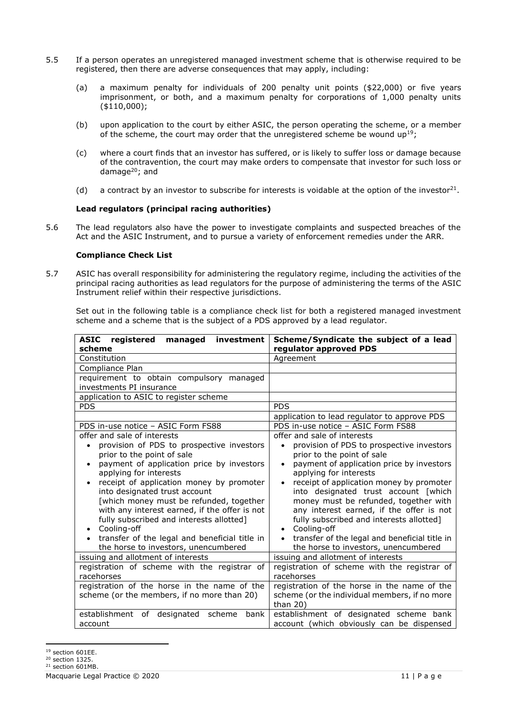- 5.5 If a person operates an unregistered managed investment scheme that is otherwise required to be registered, then there are adverse consequences that may apply, including:
	- (a) a maximum penalty for individuals of 200 penalty unit points (\$22,000) or five years imprisonment, or both, and a maximum penalty for corporations of 1,000 penalty units (\$110,000);
	- (b) upon application to the court by either ASIC, the person operating the scheme, or a member of the scheme, the court may order that the unregistered scheme be wound  $up^{19}$ ;
	- (c) where a court finds that an investor has suffered, or is likely to suffer loss or damage because of the contravention, the court may make orders to compensate that investor for such loss or damage<sup>20</sup>; and
	- (d) a contract by an investor to subscribe for interests is voidable at the option of the investor<sup>21</sup>.

# **Lead regulators (principal racing authorities)**

5.6 The lead regulators also have the power to investigate complaints and suspected breaches of the Act and the ASIC Instrument, and to pursue a variety of enforcement remedies under the ARR.

### **Compliance Check List**

5.7 ASIC has overall responsibility for administering the regulatory regime, including the activities of the principal racing authorities as lead regulators for the purpose of administering the terms of the ASIC Instrument relief within their respective jurisdictions.

Set out in the following table is a compliance check list for both a registered managed investment scheme and a scheme that is the subject of a PDS approved by a lead regulator.

| <b>ASIC</b> registered<br>managed<br>investment<br>scheme                                                                                                                                                                                                                                                                                                                                                                                                                                                                            | Scheme/Syndicate the subject of a lead<br>regulator approved PDS                                                                                                                                                                                                                                                                                                                                                                                                                                                                                               |
|--------------------------------------------------------------------------------------------------------------------------------------------------------------------------------------------------------------------------------------------------------------------------------------------------------------------------------------------------------------------------------------------------------------------------------------------------------------------------------------------------------------------------------------|----------------------------------------------------------------------------------------------------------------------------------------------------------------------------------------------------------------------------------------------------------------------------------------------------------------------------------------------------------------------------------------------------------------------------------------------------------------------------------------------------------------------------------------------------------------|
| Constitution                                                                                                                                                                                                                                                                                                                                                                                                                                                                                                                         | Agreement                                                                                                                                                                                                                                                                                                                                                                                                                                                                                                                                                      |
| Compliance Plan                                                                                                                                                                                                                                                                                                                                                                                                                                                                                                                      |                                                                                                                                                                                                                                                                                                                                                                                                                                                                                                                                                                |
| requirement to obtain compulsory managed                                                                                                                                                                                                                                                                                                                                                                                                                                                                                             |                                                                                                                                                                                                                                                                                                                                                                                                                                                                                                                                                                |
| investments PI insurance                                                                                                                                                                                                                                                                                                                                                                                                                                                                                                             |                                                                                                                                                                                                                                                                                                                                                                                                                                                                                                                                                                |
| application to ASIC to register scheme                                                                                                                                                                                                                                                                                                                                                                                                                                                                                               |                                                                                                                                                                                                                                                                                                                                                                                                                                                                                                                                                                |
| <b>PDS</b>                                                                                                                                                                                                                                                                                                                                                                                                                                                                                                                           | <b>PDS</b>                                                                                                                                                                                                                                                                                                                                                                                                                                                                                                                                                     |
|                                                                                                                                                                                                                                                                                                                                                                                                                                                                                                                                      | application to lead regulator to approve PDS                                                                                                                                                                                                                                                                                                                                                                                                                                                                                                                   |
| PDS in-use notice - ASIC Form FS88                                                                                                                                                                                                                                                                                                                                                                                                                                                                                                   | PDS in-use notice - ASIC Form FS88                                                                                                                                                                                                                                                                                                                                                                                                                                                                                                                             |
| offer and sale of interests<br>provision of PDS to prospective investors<br>prior to the point of sale<br>payment of application price by investors<br>$\bullet$<br>applying for interests<br>receipt of application money by promoter<br>into designated trust account<br>[which money must be refunded, together<br>with any interest earned, if the offer is not<br>fully subscribed and interests allotted]<br>Cooling-off<br>$\bullet$<br>transfer of the legal and beneficial title in<br>the horse to investors, unencumbered | offer and sale of interests<br>provision of PDS to prospective investors<br>$\bullet$<br>prior to the point of sale<br>payment of application price by investors<br>$\bullet$<br>applying for interests<br>receipt of application money by promoter<br>$\bullet$<br>into designated trust account [which<br>money must be refunded, together with<br>any interest earned, if the offer is not<br>fully subscribed and interests allotted]<br>Cooling-off<br>$\bullet$<br>transfer of the legal and beneficial title in<br>the horse to investors, unencumbered |
| issuing and allotment of interests                                                                                                                                                                                                                                                                                                                                                                                                                                                                                                   | issuing and allotment of interests                                                                                                                                                                                                                                                                                                                                                                                                                                                                                                                             |
| registration of scheme with the registrar of<br>racehorses                                                                                                                                                                                                                                                                                                                                                                                                                                                                           | registration of scheme with the registrar of<br>racehorses                                                                                                                                                                                                                                                                                                                                                                                                                                                                                                     |
| registration of the horse in the name of the                                                                                                                                                                                                                                                                                                                                                                                                                                                                                         | registration of the horse in the name of the                                                                                                                                                                                                                                                                                                                                                                                                                                                                                                                   |
| scheme (or the members, if no more than 20)                                                                                                                                                                                                                                                                                                                                                                                                                                                                                          | scheme (or the individual members, if no more<br>than $20$ )                                                                                                                                                                                                                                                                                                                                                                                                                                                                                                   |
| establishment<br>of designated<br>scheme<br>bank<br>account                                                                                                                                                                                                                                                                                                                                                                                                                                                                          | establishment of designated scheme bank<br>account (which obviously can be dispensed                                                                                                                                                                                                                                                                                                                                                                                                                                                                           |

<sup>20</sup> section 1325.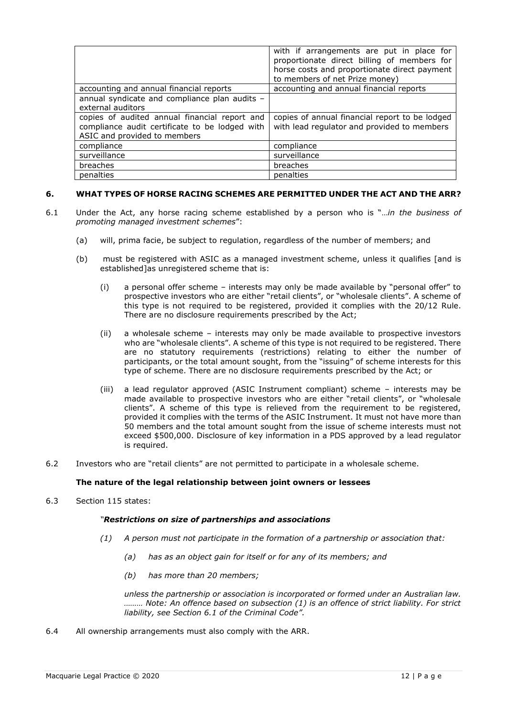|                                                                                                                                 | with if arrangements are put in place for<br>proportionate direct billing of members for<br>horse costs and proportionate direct payment<br>to members of net Prize money) |
|---------------------------------------------------------------------------------------------------------------------------------|----------------------------------------------------------------------------------------------------------------------------------------------------------------------------|
| accounting and annual financial reports                                                                                         | accounting and annual financial reports                                                                                                                                    |
| annual syndicate and compliance plan audits -<br>external auditors                                                              |                                                                                                                                                                            |
| copies of audited annual financial report and<br>compliance audit certificate to be lodged with<br>ASIC and provided to members | copies of annual financial report to be lodged<br>with lead regulator and provided to members                                                                              |
| compliance                                                                                                                      | compliance                                                                                                                                                                 |
| surveillance                                                                                                                    | surveillance                                                                                                                                                               |
| breaches                                                                                                                        | breaches                                                                                                                                                                   |
| penalties                                                                                                                       | penalties                                                                                                                                                                  |

# **6. WHAT TYPES OF HORSE RACING SCHEMES ARE PERMITTED UNDER THE ACT AND THE ARR?**

- 6.1 Under the Act, any horse racing scheme established by a person who is "…*in the business of promoting managed investment schemes*":
	- (a) will, prima facie, be subject to regulation, regardless of the number of members; and
	- (b) must be registered with ASIC as a managed investment scheme, unless it qualifies [and is established]as unregistered scheme that is:
		- (i) a personal offer scheme interests may only be made available by "personal offer" to prospective investors who are either "retail clients", or "wholesale clients". A scheme of this type is not required to be registered, provided it complies with the 20/12 Rule. There are no disclosure requirements prescribed by the Act;
		- (ii) a wholesale scheme interests may only be made available to prospective investors who are "wholesale clients". A scheme of this type is not required to be registered. There are no statutory requirements (restrictions) relating to either the number of participants, or the total amount sought, from the "issuing" of scheme interests for this type of scheme. There are no disclosure requirements prescribed by the Act; or
		- (iii) a lead regulator approved (ASIC Instrument compliant) scheme interests may be made available to prospective investors who are either "retail clients", or "wholesale clients". A scheme of this type is relieved from the requirement to be registered, provided it complies with the terms of the ASIC Instrument. It must not have more than 50 members and the total amount sought from the issue of scheme interests must not exceed \$500,000. Disclosure of key information in a PDS approved by a lead regulator is required.
- 6.2 Investors who are "retail clients" are not permitted to participate in a wholesale scheme.

# **The nature of the legal relationship between joint owners or lessees**

6.3 Section 115 states:

# *"Restrictions on size of partnerships and associations*

- *(1) A person must not participate in the formation of a partnership or association that:*
	- *(a) has as an object gain for itself or for any of its members; and*
	- *(b) has more than 20 members;*

*unless the partnership or association is incorporated or formed under an Australian law. ……… Note: An offence based on subsection (1) is an offence of strict liability. For strict liability, see Section 6.1 of the Criminal Code".*

6.4 All ownership arrangements must also comply with the ARR.